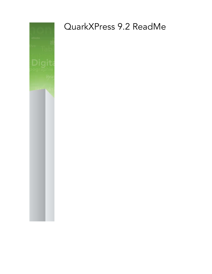

# QuarkXPress 9.2 ReadMe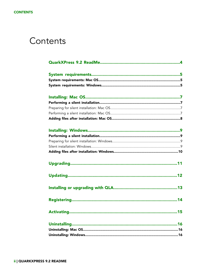### Contents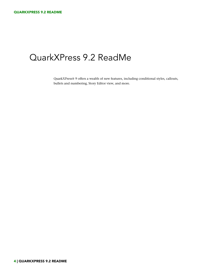### <span id="page-3-0"></span>QuarkXPress 9.2 ReadMe

QuarkXPress® 9 offers a wealth of new features, including conditional styles, callouts, bullets and numbering, Story Editor view, and more.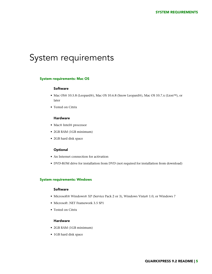## <span id="page-4-0"></span>System requirements

#### <span id="page-4-1"></span>System requirements: Mac OS

#### Software

- Mac OS® 10.5.8 (Leopard®), Mac OS 10.6.8 (Snow Leopard®), Mac OS 10.7.x (Lion™), or later
- Tested on Citrix

#### Hardware

- Mac® Intel® processor
- 2GB RAM (1GB minimum)
- 2GB hard disk space

#### **Optional**

- An Internet connection for activation
- <span id="page-4-2"></span>• DVD-ROM drive for installation from DVD (not required for installation from download)

#### System requirements: Windows

#### Software

- Microsoft® Windows® XP (Service Pack 2 or 3), Windows Vista® 1.0, or Windows 7
- Microsoft .NET Framework 3.5 SP1
- Tested on Citrix

#### Hardware

- 2GB RAM (1GB minimum)
- 1GB hard disk space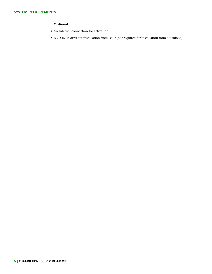#### **Optional**

- An Internet connection for activation
- DVD-ROM drive for installation from DVD (not required for installation from download)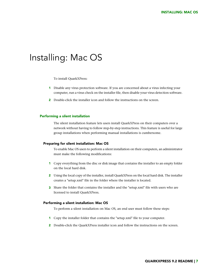### <span id="page-6-0"></span>Installing: Mac OS

To install QuarkXPress:

- 1 Disable any virus protection software. If you are concerned about a virus infecting your computer, run a virus check on the installer file, then disable your virus detection software.
- 2 Double-click the installer icon and follow the instructions on the screen.

#### <span id="page-6-2"></span><span id="page-6-1"></span>Performing a silent installation

The silent installation feature lets users install QuarkXPress on their computers over a network without having to follow step-by-step instructions. This feature is useful for large group installations when performing manual installations is cumbersome.

#### Preparing for silent installation: Mac OS

To enable Mac OS users to perform a silent installation on their computers, an administrator must make the following modifications:

- 1 Copy everything from the disc or disk image that contains the installer to an empty folder on the local hard disk.
- 2 Using the local copy of the installer, install QuarkXPress on the local hard disk. The installer creates a "setup.xml" file in the folder where the installer is located.
- <span id="page-6-3"></span>3 Share the folder that contains the installer and the "setup.xml" file with users who are licensed to install QuarkXPress.

#### Performing a silent installation: Mac OS

To perform a silent installation on Mac OS, an end user must follow these steps:

- 1 Copy the installer folder that contains the "setup.xml" file to your computer.
- 2 Double-click the QuarkXPress installer icon and follow the instructions on the screen.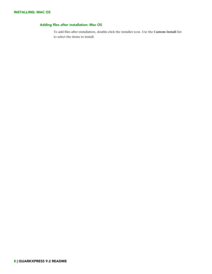#### <span id="page-7-0"></span>Adding files after installation: Mac OS

To add files after installation, double-click the installer icon. Use the **Custom Install** list to select the items to install.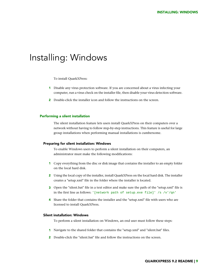### <span id="page-8-0"></span>Installing: Windows

To install QuarkXPress:

- 1 Disable any virus protection software. If you are concerned about a virus infecting your computer, run a virus check on the installer file, then disable your virus detection software.
- 2 Double-click the installer icon and follow the instructions on the screen.

#### <span id="page-8-2"></span><span id="page-8-1"></span>Performing a silent installation

The silent installation feature lets users install QuarkXPress on their computers over a network without having to follow step-by-step instructions. This feature is useful for large group installations when performing manual installations is cumbersome.

#### Preparing for silent installation: Windows

To enable Windows users to perform a silent installation on their computers, an administrator must make the following modifications:

- 1 Copy everything from the disc or disk image that contains the installer to an empty folder on the local hard disk.
- 2 Using the local copy of the installer, install QuarkXPress on the local hard disk. The installer creates a "setup.xml" file in the folder where the installer is located.
- <span id="page-8-3"></span>3 Open the "silent.bat" file in a text editor and make sure the path of the "setup.xml" file is in the first line as follows: '[network path of setup.exe file]' /s /v'/qn'
- 4 Share the folder that contains the installer and the "setup.xml" file with users who are licensed to install QuarkXPress.

#### Silent installation: Windows

To perform a silent installation on Windows, an end user must follow these steps:

- 1 Navigate to the shared folder that contains the "setup.xml" and "silent.bat" files.
- 2 Double-click the "silent.bat" file and follow the instructions on the screen.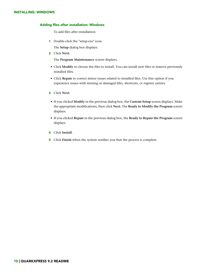#### INSTALLING: WINDOWS

#### <span id="page-9-0"></span>Adding files after installation: Windows

To add files after installation:

1 Double-click the "setup.exe" icon.

The **Setup** dialog box displays.

2 Click **Next**.

The **Program Maintenance** screen displays.

- Click **Modify** to choose the files to install. You can install new files or remove previously installed files.
- Click **Repair** to correct minor issues related to installed files. Use this option if you experience issues with missing or damaged files, shortcuts, or registry entries.
- 3 Click **Next**.
- If you clicked **Modify** in the previous dialog box, the **Custom Setup** screen displays. Make the appropriate modifications, then click **Next**. The **Ready to Modify the Program** screen displays.
- If you clicked **Repair** in the previous dialog box, the **Ready to Repair the Program** screen displays.
- 4 Click **Install**.
- 5 Click **Finish** when the system notifies you that the process is complete.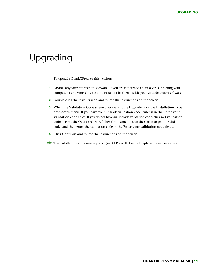## <span id="page-10-0"></span>Upgrading

To upgrade QuarkXPress to this version:

- 1 Disable any virus protection software. If you are concerned about a virus infecting your computer, run a virus check on the installer file, then disable your virus detection software.
- 2 Double-click the installer icon and follow the instructions on the screen.
- 3 When the **Validation Code** screen displays, choose **Upgrade** from the **Installation Type** drop-down menu. If you have your upgrade validation code, enter it in the **Enter your validation code** fields. If you do not have an upgrade validation code, click **Get validation code** to go to the Quark Web site, follow the instructions on the screen to get the validation code, and then enter the validation code in the **Enter your validation code** fields.
- 4 Click **Continue** and follow the instructions on the screen.
- The installer installs a new copy of QuarkXPress. It does not replace the earlier version.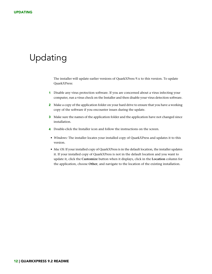## <span id="page-11-0"></span>Updating

The installer will update earlier versions of QuarkXPress 9.x to this version. To update QuarkXPress:

- 1 Disable any virus protection software. If you are concerned about a virus infecting your computer, run a virus check on the Installer and then disable your virus detection software.
- 2 Make a copy of the application folder on your hard drive to ensure that you have a working copy of the software if you encounter issues during the update.
- 3 Make sure the names of the application folder and the application have not changed since installation.
- 4 Double-click the Installer icon and follow the instructions on the screen.
- *Windows:* The installer locates your installed copy of QuarkXPress and updates it to this version.
- *Mac OS:* If your installed copy of QuarkXPress is in the default location, the installer updates it. If your installed copy of QuarkXPress is not in the default location and you want to update it, click the **Customize** button when it displays, click in the **Location** column for the application, choose **Other**, and navigate to the location of the existing installation.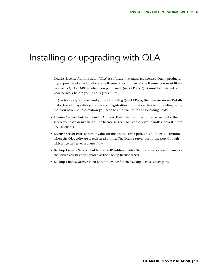### <span id="page-12-0"></span>Installing or upgrading with QLA

Quark® License Administrator (QLA) is software that manages licensed Quark products. If you purchased an educational site license or a commercial site license, you most likely received a QLA CD-ROM when you purchased QuarkXPress. QLA must be installed on your network before you install QuarkXPress.

If QLA is already installed and you are installing QuarkXPress, the **License Server Details** dialog box displays after you enter your registration information. Before proceeding, verify that you have the information you need to enter values in the following fields:

- **License Server Host Name or IP Address**: Enter the IP address or server name for the server you have designated as the license server. The license server handles requests from license clients.
- **License Server Port**: Enter the value for the license server port. This number is determined when the QLA software is registered online. The license server port is the port through which license server requests flow.
- **Backup License Server Host Name or IP Address**: Enter the IP address or server name for the server you have designated as the backup license server.
- **Backup License Server Port**: Enter the value for the backup license server port.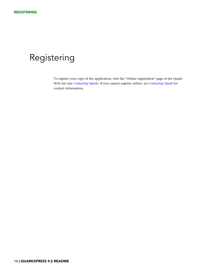## <span id="page-13-0"></span>Registering

To register your copy of the application, visit the "Online registration" page of the Quark Web site (see *[Contacting Quark](#page-18-0)*). If you cannot register online, see *[Contacting Quark](#page-18-0)* for contact information.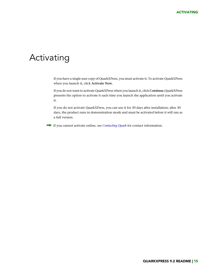### <span id="page-14-0"></span>Activating

If you have a single-user copy of QuarkXPress, you must activate it. To activate QuarkXPress when you launch it, click **Activate Now**.

If you do not want to activate QuarkXPress when you launch it, click **Continue**.QuarkXPress presents the option to activate it each time you launch the application until you activate it.

If you do not activate QuarkXPress, you can use it for 30 days after installation; after 30 days, the product runs in demonstration mode and must be activated before it will run as a full version.

If you cannot activate online, see *[Contacting Quark](#page-18-0)* for contact information.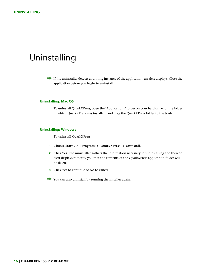### <span id="page-15-0"></span>Uninstalling

If the uninstaller detects a running instance of the application, an alert displays. Close the application before you begin to uninstall.

#### <span id="page-15-1"></span>Uninstalling: Mac OS

To uninstall QuarkXPress, open the "Applications" folder on your hard drive (or the folder in which QuarkXPress was installed) and drag the QuarkXPress folder to the trash.

#### <span id="page-15-2"></span>Uninstalling: Windows

To uninstall QuarkXPress:

- 1 Choose **Start > All Programs > QuarkXPress > Uninstall**.
- 2 Click **Yes**. The uninstaller gathers the information necessary for uninstalling and then an alert displays to notify you that the contents of the QuarkXPress application folder will be deleted.
- 3 Click **Yes** to continue or **No** to cancel.
- You can also uninstall by running the installer again.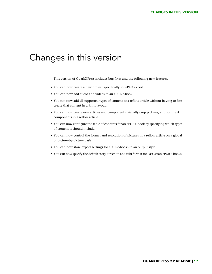### <span id="page-16-0"></span>Changes in this version

This version of QuarkXPress includes bug fixes and the following new features.

- You can now create a new project specifically for ePUB export.
- You can now add audio and videos to an ePUB e-book.
- You can now add all supported types of content to a reflow article without having to first create that content in a Print layout.
- You can now create new articles and components, visually crop pictures, and split text components in a reflow article.
- You can now configure the table of contents for an ePUB e-book by specifying which types of content it should include.
- You can now control the format and resolution of pictures in a reflow article on a global or picture-by-picture basis.
- You can now store export settings for ePUB e-books in an output style.
- You can now specify the default story direction and rubi format for East Asian ePUB e-books.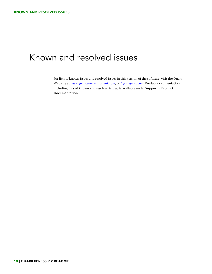## <span id="page-17-0"></span>Known and resolved issues

For lists of known issues and resolved issues in this version of the software, visit the Quark Web site at *[www.quark.com](http://www.quark.com)*, *[euro.quark.com](http://euro.quark.com)*, or *[japan.quark.com](http://japan.quark.com)*. Product documentation, including lists of known and resolved issues, is available under **Support > Product Documentation**.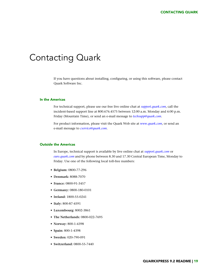### <span id="page-18-0"></span>Contacting Quark

If you have questions about installing, configuring, or using this software, please contact Quark Software Inc.

#### <span id="page-18-1"></span>In the Americas

For technical support, please use our free live online chat at *[support.quark.com](http://support.quark.com)*, call the incident-based support line at 800.676.4575 between 12:00 a.m. Monday and 6:00 p.m. Friday (Mountain Time), or send an e-mail message to *[techsupp@quark.com](mailto:techsupp@quark.com)*.

For product information, please visit the Quark Web site at *[www.quark.com](http://www.quark.com)*, or send an e-mail message to *[cservice@quark.com](mailto:cservice@quark.com)*.

#### <span id="page-18-2"></span>Outside the Americas

In Europe, technical support is available by live online chat at *[support.quark.com](http://support.quark.com)* or *[euro.quark.com](http://euro.quark.com)* and by phone between 8.30 and 17.30 Central European Time, Monday to Friday. Use one of the following local toll-free numbers:

- **Belgium:** 0800-77-296
- **Denmark:** 8088-7070
- **France:** 0800-91-3457
- **Germany:** 0800-180-0101
- **Ireland:** 1800-55-0241
- **Italy:** 800-87-4591
- **Luxembourg:** 8002-3861
- **The Netherlands:** 0800-022-7695
- **Norway:** 800-1-4398
- **Spain:** 800-1-4398
- **Sweden:** 020-790-091
- **Switzerland:** 0800-55-7440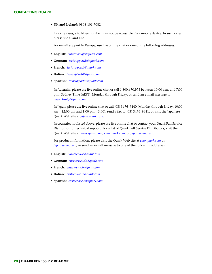#### CONTACTING QUARK

• **UK and Ireland:** 0808-101-7082

In some cases, a toll-free number may not be accessible via a mobile device. In such cases, please use a land line.

For e-mail support in Europe, use live online chat or one of the following addresses:

- **English:** *[eurotechsupp@quark.com](mailto:eurotechsupp@quark.com)*
- **German:** *[techsupportde@quark.com](mailto:techsupportde@quark.com)*
- **French:** *[techsupportfr@quark.com](mailto:techsupportfr@quark.com)*
- **Italian:** *[techsupportit@quark.com](mailto:techsupportit@quark.com)*
- **Spanish:** *[techsupportes@quark.com](mailto:techsupportes@quark.com)*

In Australia, please use live online chat or call 1 800.670.973 between 10:00 a.m. and 7:00 p.m. Sydney Time (AEST), Monday through Friday, or send an e-mail message to *[austechsupp@quark.com](mailto:austechsupp@quark.com)*.

In Japan, please use live online chat or call (03) 3476–9440 (Monday through Friday, 10:00 am – 12:00 pm and 1:00 pm – 5:00), send a fax to (03) 3476–9441, or visit the Japanese Quark Web site at *[japan.quark.com](http://japan.quark.com)*.

In countries not listed above, please use live online chat or contact your Quark Full Service Distributor for technical support. For a list of Quark Full Service Distributors, visit the Quark Web site at *[www.quark.com](http://www.quark.com)*, *[euro.quark.com](http://euro.quark.com)*, or *[japan.quark.com](http://japan.quark.com)*.

For product information, please visit the Quark Web site at *[euro.quark.com](http://euro.quark.com)* or *[japan.quark.com](http://japan.quark.com)*, or send an e-mail message to one of the following addresses:

- **English:** *[eurocservice@quark.com](mailto:eurocservice@quark.com)*
- **German:** *[custservice.de@quark.com](mailto:custservice.de@quark.com)*
- **French:** *[custservice.fr@quark.com](mailto:custservice.fr@quark.com)*
- **Italian:** *[custservice.it@quark.com](mailto:custservice.it@quark.com)*
- **Spanish:** *[custservice.es@quark.com](mailto:custservice.es@quark.com)*